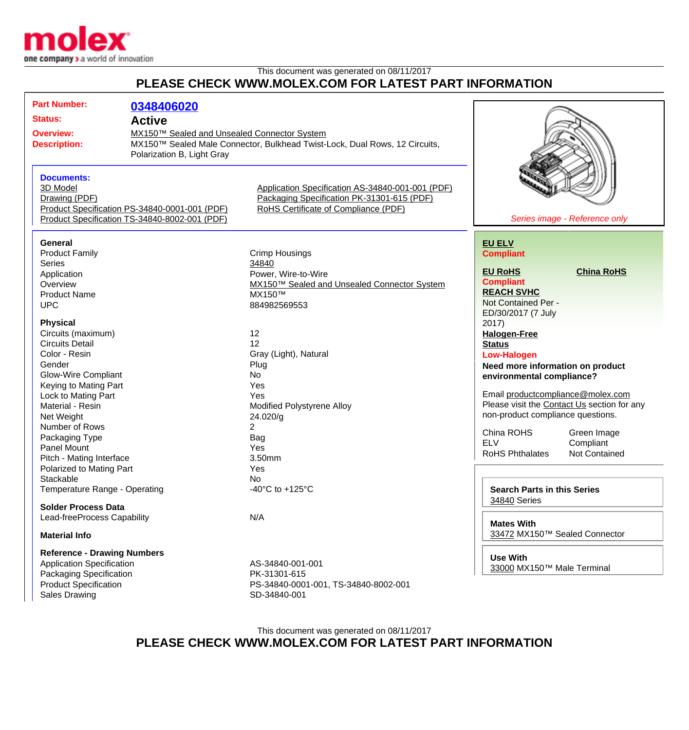

## This document was generated on 08/11/2017 **PLEASE CHECK WWW.MOLEX.COM FOR LATEST PART INFORMATION**

| <b>Part Number:</b><br><b>Status:</b>          | 0348406020<br><b>Active</b>                                                                    |                                                                                                                                        |                                                    |
|------------------------------------------------|------------------------------------------------------------------------------------------------|----------------------------------------------------------------------------------------------------------------------------------------|----------------------------------------------------|
| <b>Overview:</b>                               | MX150™ Sealed and Unsealed Connector System                                                    |                                                                                                                                        |                                                    |
| <b>Description:</b>                            |                                                                                                | MX150™ Sealed Male Connector, Bulkhead Twist-Lock, Dual Rows, 12 Circuits,                                                             |                                                    |
|                                                | Polarization B, Light Gray                                                                     |                                                                                                                                        |                                                    |
| <b>Documents:</b><br>3D Model<br>Drawing (PDF) | Product Specification PS-34840-0001-001 (PDF)<br>Product Specification TS-34840-8002-001 (PDF) | Application Specification AS-34840-001-001 (PDF)<br>Packaging Specification PK-31301-615 (PDF)<br>RoHS Certificate of Compliance (PDF) | Series image - Reference only                      |
| General                                        |                                                                                                |                                                                                                                                        | <b>EU ELV</b>                                      |
| <b>Product Family</b>                          |                                                                                                | <b>Crimp Housings</b>                                                                                                                  | <b>Compliant</b>                                   |
| <b>Series</b>                                  |                                                                                                | 34840                                                                                                                                  |                                                    |
| Application                                    |                                                                                                | Power, Wire-to-Wire                                                                                                                    | <b>EU RoHS</b><br><b>China RoHS</b>                |
| Overview                                       |                                                                                                | MX150™ Sealed and Unsealed Connector System                                                                                            | <b>Compliant</b>                                   |
| <b>Product Name</b>                            |                                                                                                | MX150™                                                                                                                                 | <b>REACH SVHC</b>                                  |
| <b>UPC</b>                                     |                                                                                                | 884982569553                                                                                                                           | Not Contained Per -                                |
| <b>Physical</b>                                |                                                                                                |                                                                                                                                        | ED/30/2017 (7 July<br>2017)                        |
| Circuits (maximum)                             |                                                                                                | 12                                                                                                                                     | <b>Halogen-Free</b>                                |
| <b>Circuits Detail</b>                         |                                                                                                | 12                                                                                                                                     | <b>Status</b>                                      |
| Color - Resin                                  |                                                                                                | Gray (Light), Natural                                                                                                                  | <b>Low-Halogen</b>                                 |
| Gender                                         |                                                                                                | Plug                                                                                                                                   | Need more information on product                   |
| <b>Glow-Wire Compliant</b>                     |                                                                                                | No                                                                                                                                     | environmental compliance?                          |
| Keying to Mating Part                          |                                                                                                | Yes                                                                                                                                    |                                                    |
| Lock to Mating Part                            |                                                                                                | Yes                                                                                                                                    | Email productcompliance@molex.com                  |
| Material - Resin                               |                                                                                                | Modified Polystyrene Alloy                                                                                                             | Please visit the Contact Us section for any        |
| Net Weight                                     |                                                                                                | 24.020/g                                                                                                                               | non-product compliance questions.                  |
| Number of Rows                                 |                                                                                                | 2                                                                                                                                      | China ROHS<br>Green Image                          |
| Packaging Type                                 |                                                                                                | Bag                                                                                                                                    | <b>ELV</b><br>Compliant                            |
| <b>Panel Mount</b>                             |                                                                                                | Yes                                                                                                                                    | <b>RoHS Phthalates</b><br><b>Not Contained</b>     |
| Pitch - Mating Interface                       |                                                                                                | 3.50mm                                                                                                                                 |                                                    |
| Polarized to Mating Part                       |                                                                                                | Yes                                                                                                                                    |                                                    |
| Stackable<br>Temperature Range - Operating     |                                                                                                | No<br>-40 $^{\circ}$ C to +125 $^{\circ}$ C                                                                                            | <b>Search Parts in this Series</b>                 |
| <b>Solder Process Data</b>                     |                                                                                                |                                                                                                                                        | 34840 Series                                       |
| Lead-freeProcess Capability                    |                                                                                                | N/A                                                                                                                                    |                                                    |
| <b>Material Info</b>                           |                                                                                                |                                                                                                                                        | <b>Mates With</b><br>33472 MX150™ Sealed Connector |
| <b>Reference - Drawing Numbers</b>             |                                                                                                |                                                                                                                                        | <b>Use With</b>                                    |
| <b>Application Specification</b>               |                                                                                                | AS-34840-001-001                                                                                                                       | 33000 MX150™ Male Terminal                         |
| <b>Packaging Specification</b>                 |                                                                                                | PK-31301-615                                                                                                                           |                                                    |
| <b>Product Specification</b>                   |                                                                                                | PS-34840-0001-001, TS-34840-8002-001                                                                                                   |                                                    |

This document was generated on 08/11/2017 **PLEASE CHECK WWW.MOLEX.COM FOR LATEST PART INFORMATION**

Sales Drawing SD-34840-001